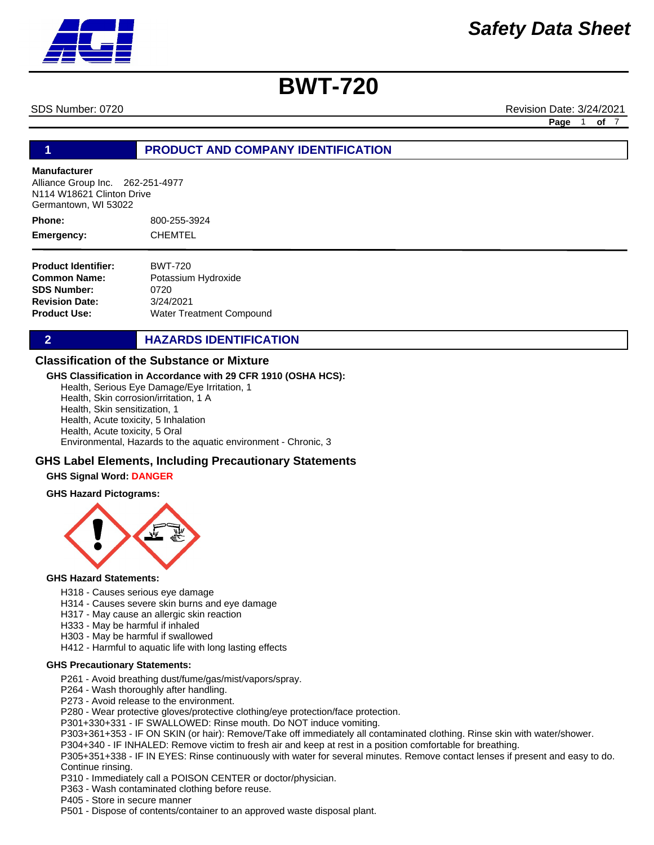SDS Number: 0720 Revision Date: 3/24/2021

**Page** 1 **of** 7

## **1 PRODUCT AND COMPANY IDENTIFICATION**

# **Manufacturer**

Alliance Group Inc. 262-251-4977 N114 W18621 Clinton Drive Germantown, WI 53022

800-255-3924 CHEMTEL **Phone: Emergency:**

| <b>Product Identifier:</b> | <b>BWT-720</b>           |
|----------------------------|--------------------------|
| Common Name:               | Potassium Hydroxide      |
| <b>SDS Number:</b>         | 0720                     |
| <b>Revision Date:</b>      | 3/24/2021                |
| Product Use:               | Water Treatment Compound |

**2 HAZARDS IDENTIFICATION** 

### **Classification of the Substance or Mixture**

### **GHS Classification in Accordance with 29 CFR 1910 (OSHA HCS):**

Health, Serious Eye Damage/Eye Irritation, 1 Health, Skin corrosion/irritation, 1 A Health, Skin sensitization, 1 Health, Acute toxicity, 5 Inhalation Health, Acute toxicity, 5 Oral Environmental, Hazards to the aquatic environment - Chronic, 3

### **GHS Label Elements, Including Precautionary Statements**

### **GHS Signal Word: DANGER**

### **GHS Hazard Pictograms:**



### **GHS Hazard Statements:**

- H318 Causes serious eye damage
- H314 Causes severe skin burns and eye damage
- H317 May cause an allergic skin reaction
- H333 May be harmful if inhaled
- H303 May be harmful if swallowed
- H412 Harmful to aquatic life with long lasting effects

### **GHS Precautionary Statements:**

- P261 Avoid breathing dust/fume/gas/mist/vapors/spray.
- P264 Wash thoroughly after handling.
- P273 Avoid release to the environment.
- P280 Wear protective gloves/protective clothing/eye protection/face protection.
- P301+330+331 IF SWALLOWED: Rinse mouth. Do NOT induce vomiting.
- P303+361+353 IF ON SKIN (or hair): Remove/Take off immediately all contaminated clothing. Rinse skin with water/shower.
- P304+340 IF INHALED: Remove victim to fresh air and keep at rest in a position comfortable for breathing.
- P305+351+338 IF IN EYES: Rinse continuously with water for several minutes. Remove contact lenses if present and easy to do. Continue rinsing.
- P310 Immediately call a POISON CENTER or doctor/physician.
- P363 Wash contaminated clothing before reuse.
- P405 Store in secure manner
- P501 Dispose of contents/container to an approved waste disposal plant.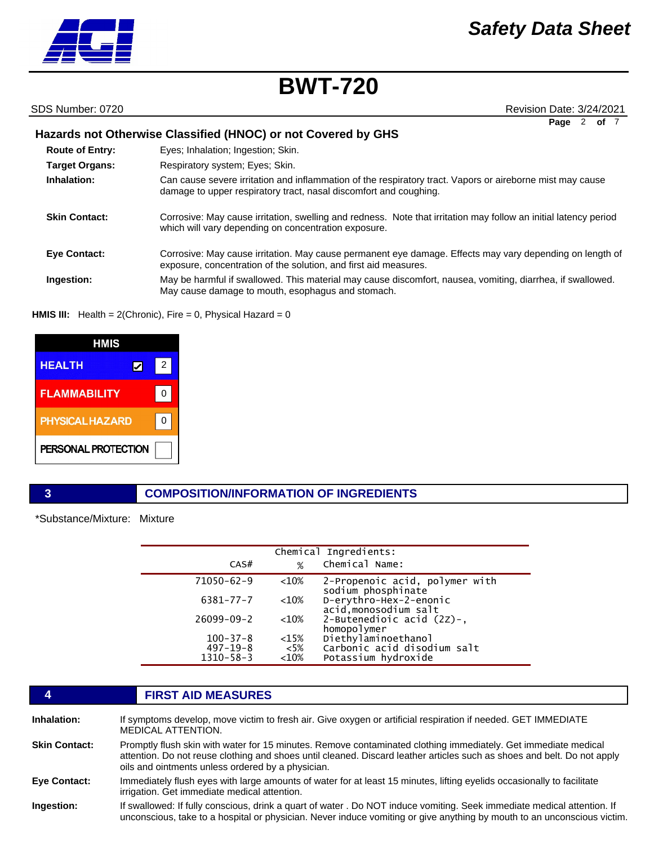# *Safety Data Sheet*

# **BWT-720**

### SDS Number: 0720

| <b>Revision Date: 3/24/2021</b> |           |  |  |
|---------------------------------|-----------|--|--|
|                                 | Page 2 of |  |  |

|                        | Hazards not Otherwise Classified (HNOC) or not Covered by GHS                                                                                                                  |
|------------------------|--------------------------------------------------------------------------------------------------------------------------------------------------------------------------------|
| <b>Route of Entry:</b> | Eyes; Inhalation; Ingestion; Skin.                                                                                                                                             |
| <b>Target Organs:</b>  | Respiratory system; Eyes; Skin.                                                                                                                                                |
| Inhalation:            | Can cause severe irritation and inflammation of the respiratory tract. Vapors or aireborne mist may cause<br>damage to upper respiratory tract, nasal discomfort and coughing. |
| <b>Skin Contact:</b>   | Corrosive: May cause irritation, swelling and redness. Note that irritation may follow an initial latency period<br>which will vary depending on concentration exposure.       |
| <b>Eve Contact:</b>    | Corrosive: May cause irritation. May cause permanent eye damage. Effects may vary depending on length of<br>exposure, concentration of the solution, and first aid measures.   |
| Ingestion:             | May be harmful if swallowed. This material may cause discomfort, nausea, vomiting, diarrhea, if swallowed.<br>May cause damage to mouth, esophagus and stomach.                |

## **HMIS III:** Health = 2(Chronic), Fire = 0, Physical Hazard = 0

| HMIS                   |   |   |
|------------------------|---|---|
| <b>HEALTH</b>          | ⋁ | 2 |
| <b>FLAMMABILITY</b>    |   |   |
| <b>PHYSICAL HAZARD</b> |   |   |
| PERSONAL PROTECTION    |   |   |

# **3 COMPOSITION/INFORMATION OF INGREDIENTS**

\*Substance/Mixture: Mixture

|                  |         | Chemical Ingredients:                                |
|------------------|---------|------------------------------------------------------|
| CAS#             | %       | Chemical Name:                                       |
| $71050 - 62 - 9$ | $<$ 10% | 2-Propenoic acid, polymer with<br>sodium phosphinate |
| $6381 - 77 - 7$  | $<10\%$ | D-erythro-Hex-2-enonic<br>acid, monosodium salt      |
| $26099 - 09 - 2$ | $<$ 10% | 2-Butenedioic acid $(2z)$ -,<br>homopolymer          |
| $100 - 37 - 8$   | $<$ 15% | Diethylaminoethanol                                  |
| $497 - 19 - 8$   | $<$ 5%  | Carbonic acid disodium salt                          |
| $1310 - 58 - 3$  | < 10%   | Potassium hydroxide                                  |

# **4 FIRST AID MEASURES**

| Inhalation:          | If symptoms develop, move victim to fresh air. Give oxygen or artificial respiration if needed. GET IMMEDIATE<br><b>MEDICAL ATTENTION.</b>                                                                                                                                                     |
|----------------------|------------------------------------------------------------------------------------------------------------------------------------------------------------------------------------------------------------------------------------------------------------------------------------------------|
| <b>Skin Contact:</b> | Promptly flush skin with water for 15 minutes. Remove contaminated clothing immediately. Get immediate medical<br>attention. Do not reuse clothing and shoes until cleaned. Discard leather articles such as shoes and belt. Do not apply<br>oils and ointments unless ordered by a physician. |
| <b>Eye Contact:</b>  | Immediately flush eves with large amounts of water for at least 15 minutes, lifting evelids occasionally to facilitate<br>irrigation. Get immediate medical attention.                                                                                                                         |
| Ingestion:           | If swallowed: If fully conscious, drink a quart of water . Do NOT induce vomiting. Seek immediate medical attention. If<br>unconscious, take to a hospital or physician. Never induce vomiting or give anything by mouth to an unconscious victim.                                             |

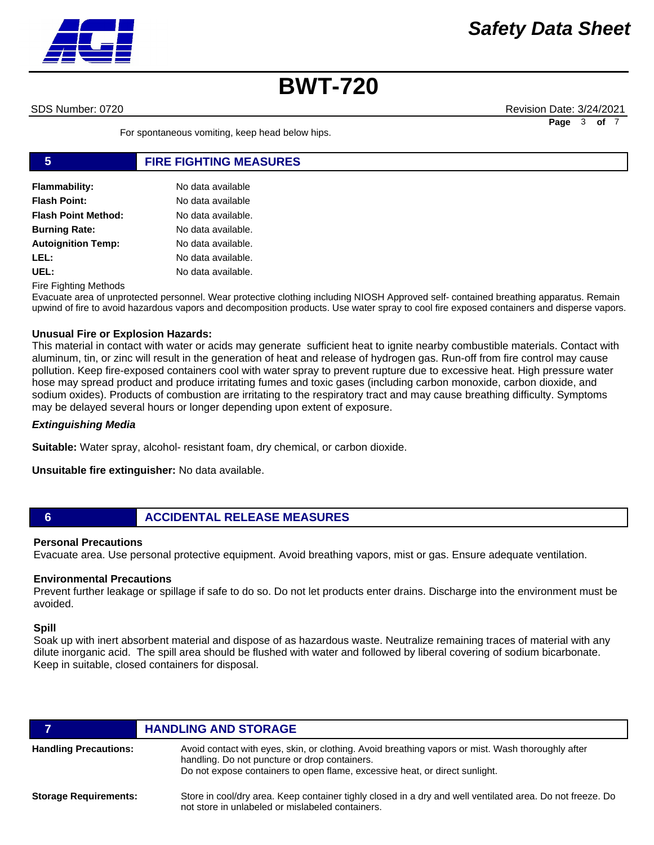

SDS Number: 0720 Revision Date: 3/24/2021 **Page** 3 of

For spontaneous vomiting, keep head below hips.

# **5 FIRE FIGHTING MEASURES**

| <b>Flammability:</b>       | No data available  |
|----------------------------|--------------------|
| <b>Flash Point:</b>        | No data available  |
| <b>Flash Point Method:</b> | No data available. |
| <b>Burning Rate:</b>       | No data available. |
| <b>Autoignition Temp:</b>  | No data available. |
| LEL:                       | No data available. |
| UEL:                       | No data available. |

Fire Fighting Methods

Evacuate area of unprotected personnel. Wear protective clothing including NIOSH Approved self- contained breathing apparatus. Remain upwind of fire to avoid hazardous vapors and decomposition products. Use water spray to cool fire exposed containers and disperse vapors.

### **Unusual Fire or Explosion Hazards:**

This material in contact with water or acids may generate sufficient heat to ignite nearby combustible materials. Contact with aluminum, tin, or zinc will result in the generation of heat and release of hydrogen gas. Run-off from fire control may cause pollution. Keep fire-exposed containers cool with water spray to prevent rupture due to excessive heat. High pressure water hose may spread product and produce irritating fumes and toxic gases (including carbon monoxide, carbon dioxide, and sodium oxides). Products of combustion are irritating to the respiratory tract and may cause breathing difficulty. Symptoms may be delayed several hours or longer depending upon extent of exposure.

### *Extinguishing Media*

**Suitable:** Water spray, alcohol- resistant foam, dry chemical, or carbon dioxide.

**Unsuitable fire extinguisher:** No data available.

### **6 ACCIDENTAL RELEASE MEASURES**

### **Personal Precautions**

Evacuate area. Use personal protective equipment. Avoid breathing vapors, mist or gas. Ensure adequate ventilation.

### **Environmental Precautions**

Prevent further leakage or spillage if safe to do so. Do not let products enter drains. Discharge into the environment must be avoided.

### **Spill**

Soak up with inert absorbent material and dispose of as hazardous waste. Neutralize remaining traces of material with any dilute inorganic acid. The spill area should be flushed with water and followed by liberal covering of sodium bicarbonate. Keep in suitable, closed containers for disposal.

|                              | <b>HANDLING AND STORAGE</b>                                                                                                                                                                                                       |
|------------------------------|-----------------------------------------------------------------------------------------------------------------------------------------------------------------------------------------------------------------------------------|
| <b>Handling Precautions:</b> | Avoid contact with eyes, skin, or clothing. Avoid breathing vapors or mist. Wash thoroughly after<br>handling. Do not puncture or drop containers.<br>Do not expose containers to open flame, excessive heat, or direct sunlight. |
| <b>Storage Requirements:</b> | Store in cool/dry area. Keep container tighly closed in a dry and well ventilated area. Do not freeze. Do<br>not store in unlabeled or mislabeled containers.                                                                     |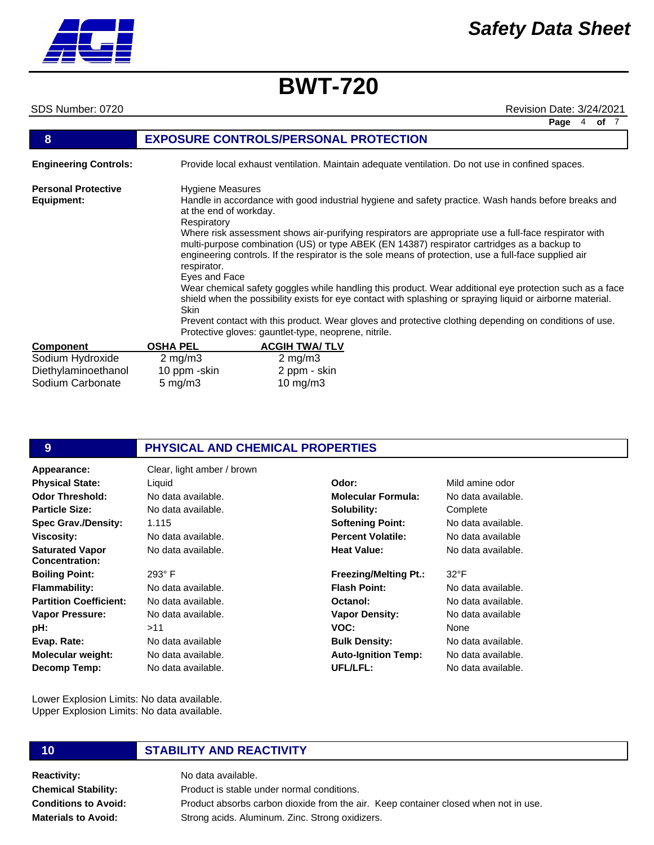# *Safety Data Sheet*

# **BWT-720**

SDS Number: 0720 Revision Date: 3/24/2021

**Page** 4 **of** 7

| 8                                        | <b>EXPOSURE CONTROLS/PERSONAL PROTECTION</b>                                                                                                                                                                                                                                                                                                                                                                                                                                             |                      |  |
|------------------------------------------|------------------------------------------------------------------------------------------------------------------------------------------------------------------------------------------------------------------------------------------------------------------------------------------------------------------------------------------------------------------------------------------------------------------------------------------------------------------------------------------|----------------------|--|
| <b>Engineering Controls:</b>             | Provide local exhaust ventilation. Maintain adequate ventilation. Do not use in confined spaces.                                                                                                                                                                                                                                                                                                                                                                                         |                      |  |
| <b>Personal Protective</b><br>Equipment: | <b>Hygiene Measures</b><br>Handle in accordance with good industrial hygiene and safety practice. Wash hands before breaks and<br>at the end of workday.<br>Respiratory<br>Where risk assessment shows air-purifying respirators are appropriate use a full-face respirator with<br>multi-purpose combination (US) or type ABEK (EN 14387) respirator cartridges as a backup to<br>engineering controls. If the respirator is the sole means of protection, use a full-face supplied air |                      |  |
|                                          | respirator.<br>Eyes and Face<br>Wear chemical safety goggles while handling this product. Wear additional eye protection such as a face<br>shield when the possibility exists for eye contact with splashing or spraying liquid or airborne material.<br><b>Skin</b><br>Prevent contact with this product. Wear gloves and protective clothing depending on conditions of use.<br>Protective gloves: gauntlet-type, neoprene, nitrile.                                                   |                      |  |
| <b>Component</b>                         | <b>OSHA PEL</b>                                                                                                                                                                                                                                                                                                                                                                                                                                                                          | <b>ACGIH TWA/TLV</b> |  |
| Sodium Hydroxide                         | $2 \text{ mg/m}$ 3                                                                                                                                                                                                                                                                                                                                                                                                                                                                       | $2 \text{ mg/m}$ 3   |  |
| Diethylaminoethanol                      | 10 ppm -skin                                                                                                                                                                                                                                                                                                                                                                                                                                                                             | 2 ppm - skin         |  |
| Sodium Carbonate                         | 5 mg/m $3$                                                                                                                                                                                                                                                                                                                                                                                                                                                                               | 10 $mg/m3$           |  |

# **9 PHYSICAL AND CHEMICAL PROPERTIES**

| Appearance:                   | Clear, light amber / brown |                              |                    |
|-------------------------------|----------------------------|------------------------------|--------------------|
| <b>Physical State:</b>        | Liquid                     | Odor:                        | Mild amine odor    |
| <b>Odor Threshold:</b>        | No data available.         | <b>Molecular Formula:</b>    | No data available. |
| <b>Particle Size:</b>         | No data available.         | Solubility:                  | Complete           |
| <b>Spec Grav./Density:</b>    | 1.115                      | <b>Softening Point:</b>      | No data available. |
| Viscosity:                    | No data available.         | <b>Percent Volatile:</b>     | No data available  |
| <b>Saturated Vapor</b>        | No data available.         | <b>Heat Value:</b>           | No data available. |
| <b>Concentration:</b>         |                            |                              |                    |
| <b>Boiling Point:</b>         | $293^\circ$ F              | <b>Freezing/Melting Pt.:</b> | $32^{\circ}F$      |
| <b>Flammability:</b>          | No data available.         | <b>Flash Point:</b>          | No data available. |
| <b>Partition Coefficient:</b> | No data available.         | Octanol:                     | No data available. |
| <b>Vapor Pressure:</b>        | No data available.         | <b>Vapor Density:</b>        | No data available  |
| pH:                           | >11                        | VOC:                         | None               |
| Evap. Rate:                   | No data available          | <b>Bulk Density:</b>         | No data available. |
| Molecular weight:             | No data available.         | <b>Auto-Ignition Temp:</b>   | No data available. |
| Decomp Temp:                  | No data available.         | UFL/LFL:                     | No data available. |

Lower Explosion Limits: No data available. Upper Explosion Limits: No data available.

### **Reactivity:** No data available. **Chemical Stability: Conditions to Avoid: Materials to Avoid:**

# **10 STABILITY AND REACTIVITY**

Product is stable under normal conditions. Product absorbs carbon dioxide from the air. Keep container closed when not in use. Strong acids. Aluminum. Zinc. Strong oxidizers.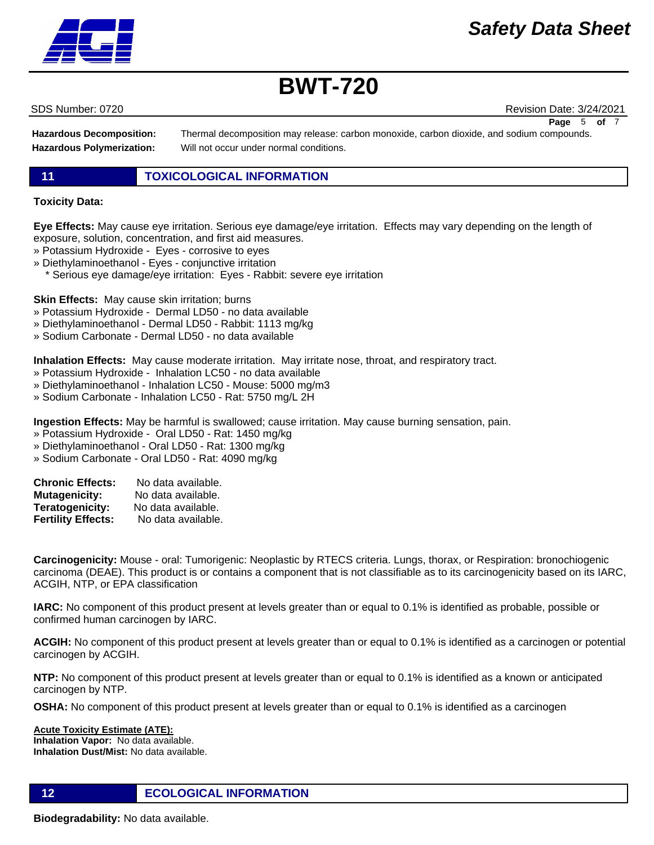SDS Number: 0720 Revision Date: 3/24/2021

**Hazardous Decomposition: Hazardous Polymerization:**

Thermal decomposition may release: carbon monoxide, carbon dioxide, and sodium compounds. Will not occur under normal conditions.

## **11 TOXICOLOGICAL INFORMATION**

### **Toxicity Data:**

**Eye Effects:** May cause eye irritation. Serious eye damage/eye irritation. Effects may vary depending on the length of exposure, solution, concentration, and first aid measures.

- » Potassium Hydroxide Eyes corrosive to eyes
- » Diethylaminoethanol Eyes conjunctive irritation
- \* Serious eye damage/eye irritation: Eyes Rabbit: severe eye irritation

**Skin Effects:** May cause skin irritation; burns

- » Potassium Hydroxide Dermal LD50 no data available
- » Diethylaminoethanol Dermal LD50 Rabbit: 1113 mg/kg
- » Sodium Carbonate Dermal LD50 no data available

**Inhalation Effects:** May cause moderate irritation. May irritate nose, throat, and respiratory tract.

- » Potassium Hydroxide Inhalation LC50 no data available
- » Diethylaminoethanol Inhalation LC50 Mouse: 5000 mg/m3
- » Sodium Carbonate Inhalation LC50 Rat: 5750 mg/L 2H

**Ingestion Effects:** May be harmful is swallowed; cause irritation. May cause burning sensation, pain.

- » Potassium Hydroxide Oral LD50 Rat: 1450 mg/kg
- » Diethylaminoethanol Oral LD50 Rat: 1300 mg/kg
- » Sodium Carbonate Oral LD50 Rat: 4090 mg/kg

| <b>Chronic Effects:</b>   | No data available. |
|---------------------------|--------------------|
| <b>Mutagenicity:</b>      | No data available. |
| Teratogenicity:           | No data available. |
| <b>Fertility Effects:</b> | No data available. |

**Carcinogenicity:** Mouse - oral: Tumorigenic: Neoplastic by RTECS criteria. Lungs, thorax, or Respiration: bronochiogenic carcinoma (DEAE). This product is or contains a component that is not classifiable as to its carcinogenicity based on its IARC, ACGIH, NTP, or EPA classification

**IARC:** No component of this product present at levels greater than or equal to 0.1% is identified as probable, possible or confirmed human carcinogen by IARC.

**ACGIH:** No component of this product present at levels greater than or equal to 0.1% is identified as a carcinogen or potential carcinogen by ACGIH.

**NTP:** No component of this product present at levels greater than or equal to 0.1% is identified as a known or anticipated carcinogen by NTP.

**OSHA:** No component of this product present at levels greater than or equal to 0.1% is identified as a carcinogen

**Acute Toxicity Estimate (ATE): Inhalation Vapor:** No data available. **Inhalation Dust/Mist:** No data available.

**12 ECOLOGICAL INFORMATION** 

**Biodegradability:** No data available.



**Page** 5 of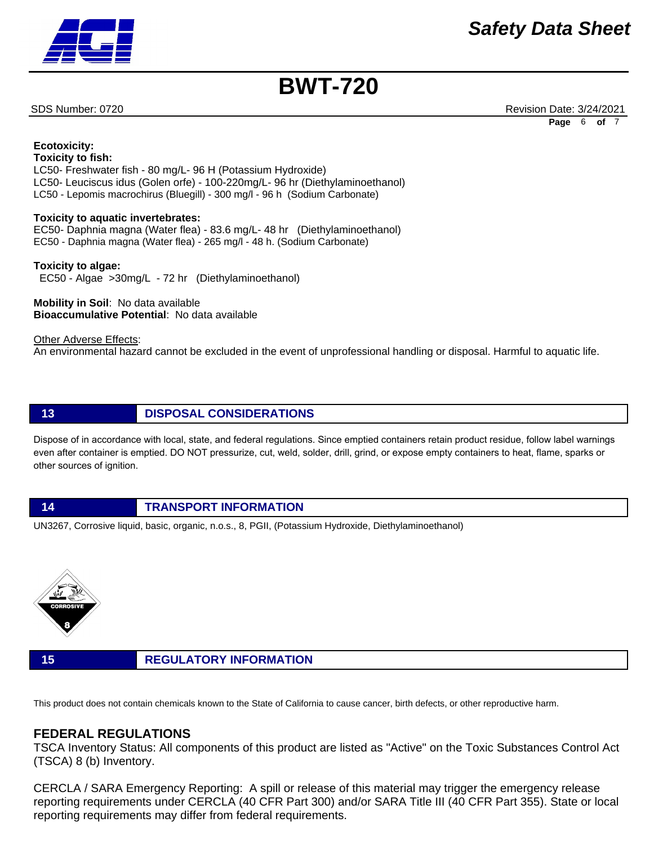SDS Number: 0720 Revision Date: 3/24/2021 **Page** 6 **of** 7

**Ecotoxicity: Toxicity to fish:** LC50- Freshwater fish - 80 mg/L- 96 H (Potassium Hydroxide) LC50- Leuciscus idus (Golen orfe) - 100-220mg/L- 96 hr (Diethylaminoethanol) LC50 - Lepomis macrochirus (Bluegill) - 300 mg/l - 96 h (Sodium Carbonate)

### **Toxicity to aquatic invertebrates:**

EC50- Daphnia magna (Water flea) - 83.6 mg/L- 48 hr (Diethylaminoethanol) EC50 - Daphnia magna (Water flea) - 265 mg/l - 48 h. (Sodium Carbonate)

**Toxicity to algae:** EC50 - Algae >30mg/L - 72 hr (Diethylaminoethanol)

**Mobility in Soil**: No data available **Bioaccumulative Potential**: No data available

Other Adverse Effects: An environmental hazard cannot be excluded in the event of unprofessional handling or disposal. Harmful to aquatic life.

## **13 DISPOSAL CONSIDERATIONS**

Dispose of in accordance with local, state, and federal regulations. Since emptied containers retain product residue, follow label warnings even after container is emptied. DO NOT pressurize, cut, weld, solder, drill, grind, or expose empty containers to heat, flame, sparks or other sources of ignition.

### **14 TRANSPORT INFORMATION**

UN3267, Corrosive liquid, basic, organic, n.o.s., 8, PGII, (Potassium Hydroxide, Diethylaminoethanol)



### **15 REGULATORY INFORMATION**

This product does not contain chemicals known to the State of California to cause cancer, birth defects, or other reproductive harm.

# **FEDERAL REGULATIONS**

TSCA Inventory Status: All components of this product are listed as "Active" on the Toxic Substances Control Act (TSCA) 8 (b) Inventory.

CERCLA / SARA Emergency Reporting: A spill or release of this material may trigger the emergency release reporting requirements under CERCLA (40 CFR Part 300) and/or SARA Title III (40 CFR Part 355). State or local reporting requirements may differ from federal requirements.